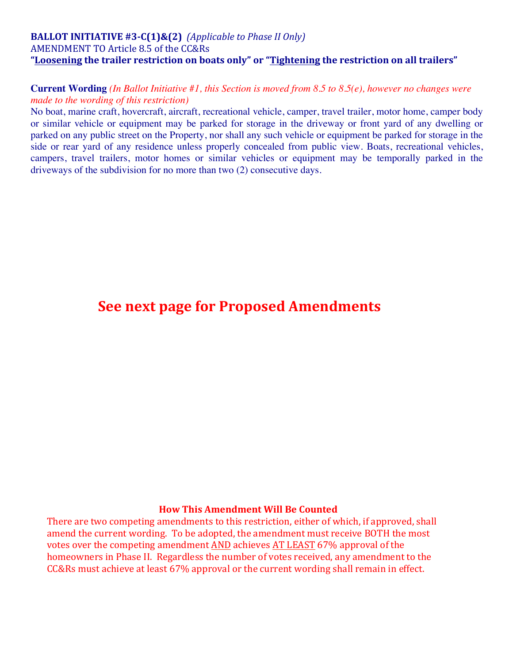## **BALLOT INITIATIVE** #3-C(1)&(2) *(Applicable to Phase II Only)* AMENDMENT TO Article 8.5 of the CC&Rs "Loosening the trailer restriction on boats only" or "Tightening the restriction on all trailers"

### **Current Wording** *(In Ballot Initiative #1, this Section is moved from 8.5 to 8.5(e), however no changes were made to the wording of this restriction)*

No boat, marine craft, hovercraft, aircraft, recreational vehicle, camper, travel trailer, motor home, camper body or similar vehicle or equipment may be parked for storage in the driveway or front yard of any dwelling or parked on any public street on the Property, nor shall any such vehicle or equipment be parked for storage in the side or rear yard of any residence unless properly concealed from public view. Boats, recreational vehicles, campers, travel trailers, motor homes or similar vehicles or equipment may be temporally parked in the driveways of the subdivision for no more than two (2) consecutive days.

# **See next page for Proposed Amendments**

#### **How This Amendment Will Be Counted**

There are two competing amendments to this restriction, either of which, if approved, shall amend the current wording. To be adopted, the amendment must receive BOTH the most votes over the competing amendment AND achieves AT LEAST 67% approval of the homeowners in Phase II. Regardless the number of votes received, any amendment to the  $CC&Rs$  must achieve at least  $67%$  approval or the current wording shall remain in effect.